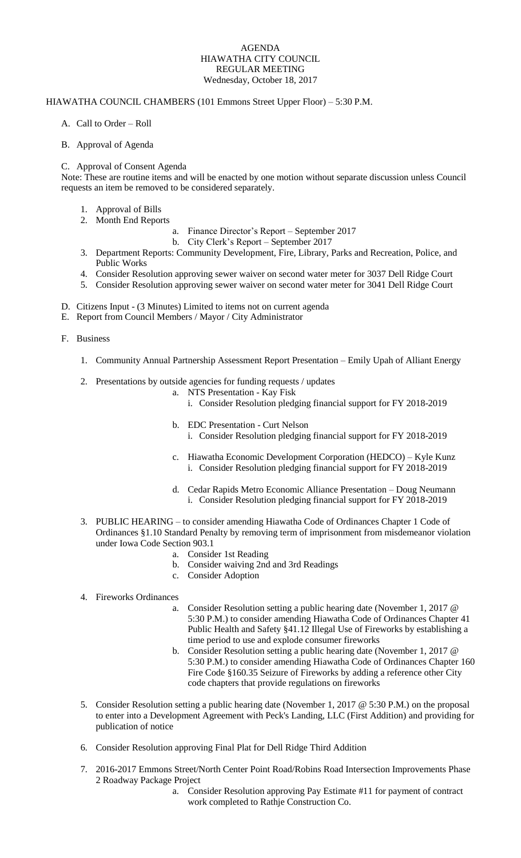## AGENDA HIAWATHA CITY COUNCIL REGULAR MEETING Wednesday, October 18, 2017

## HIAWATHA COUNCIL CHAMBERS (101 Emmons Street Upper Floor) – 5:30 P.M.

- A. Call to Order Roll
- B. Approval of Agenda

## C. Approval of Consent Agenda

Note: These are routine items and will be enacted by one motion without separate discussion unless Council requests an item be removed to be considered separately.

- 1. Approval of Bills
- 2. Month End Reports
	- a. Finance Director's Report September 2017
		- b. City Clerk's Report September 2017
- 3. Department Reports: Community Development, Fire, Library, Parks and Recreation, Police, and Public Works
- 4. Consider Resolution approving sewer waiver on second water meter for 3037 Dell Ridge Court
- 5. Consider Resolution approving sewer waiver on second water meter for 3041 Dell Ridge Court
- D. Citizens Input (3 Minutes) Limited to items not on current agenda
- E. Report from Council Members / Mayor / City Administrator

F. Business

- 1. Community Annual Partnership Assessment Report Presentation Emily Upah of Alliant Energy
- 2. Presentations by outside agencies for funding requests / updates
	- a. NTS Presentation Kay Fisk
		- i. Consider Resolution pledging financial support for FY 2018-2019
	- b. EDC Presentation Curt Nelson i. Consider Resolution pledging financial support for FY 2018-2019
	- c. Hiawatha Economic Development Corporation (HEDCO) Kyle Kunz i. Consider Resolution pledging financial support for FY 2018-2019
	- d. Cedar Rapids Metro Economic Alliance Presentation Doug Neumann i. Consider Resolution pledging financial support for FY 2018-2019
- 3. PUBLIC HEARING to consider amending Hiawatha Code of Ordinances Chapter 1 Code of Ordinances §1.10 Standard Penalty by removing term of imprisonment from misdemeanor violation under Iowa Code Section 903.1
	- a. Consider 1st Reading
	- b. Consider waiving 2nd and 3rd Readings
	- c. Consider Adoption
- 4. Fireworks Ordinances
	- a. Consider Resolution setting a public hearing date (November 1, 2017 @ 5:30 P.M.) to consider amending Hiawatha Code of Ordinances Chapter 41 Public Health and Safety §41.12 Illegal Use of Fireworks by establishing a time period to use and explode consumer fireworks
	- b. Consider Resolution setting a public hearing date (November 1, 2017 @ 5:30 P.M.) to consider amending Hiawatha Code of Ordinances Chapter 160 Fire Code §160.35 Seizure of Fireworks by adding a reference other City code chapters that provide regulations on fireworks
- 5. Consider Resolution setting a public hearing date (November 1, 2017 @ 5:30 P.M.) on the proposal to enter into a Development Agreement with Peck's Landing, LLC (First Addition) and providing for publication of notice
- 6. Consider Resolution approving Final Plat for Dell Ridge Third Addition
- 7. 2016-2017 Emmons Street/North Center Point Road/Robins Road Intersection Improvements Phase 2 Roadway Package Project
	- a. Consider Resolution approving Pay Estimate #11 for payment of contract work completed to Rathje Construction Co.